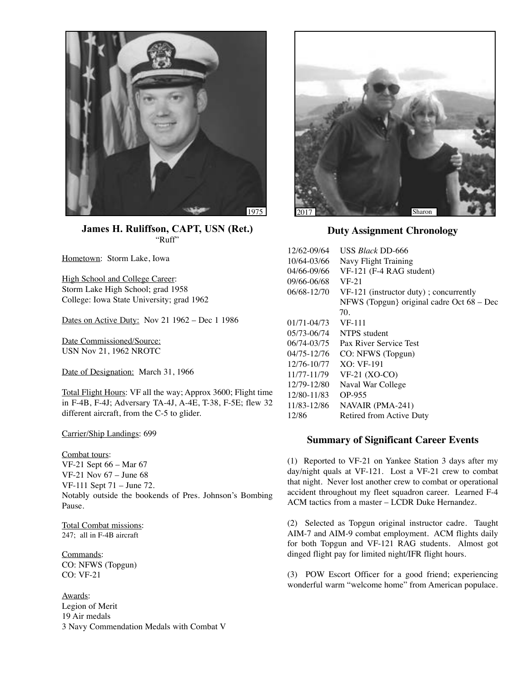

**James H. Ruliffson, CAPT, USN (Ret.)** "Ruff"

Hometown: Storm Lake, Iowa

High School and College Career: Storm Lake High School; grad 1958 College: Iowa State University; grad 1962

Dates on Active Duty: Nov 21 1962 – Dec 1 1986

Date Commissioned/Source: USN Nov 21, 1962 NROTC

Date of Designation: March 31, 1966

Total Flight Hours: VF all the way; Approx 3600; Flight time in F-4B, F-4J; Adversary TA-4J, A-4E, T-38, F-5E; flew 32 different aircraft, from the C-5 to glider.

Carrier/Ship Landings: 699

Combat tours: VF-21 Sept 66 – Mar 67 VF-21 Nov 67 – June 68 VF-111 Sept 71 – June 72. Notably outside the bookends of Pres. Johnson's Bombing Pause.

Total Combat missions: 247; all in F-4B aircraft

Commands: CO: NFWS (Topgun) CO: VF-21

Awards: Legion of Merit 19 Air medals 3 Navy Commendation Medals with Combat V



**Duty Assignment Chronology**

| USS <i>Black</i> DD-666                   |
|-------------------------------------------|
| Navy Flight Training                      |
| VF-121 (F-4 RAG student)                  |
| $VF-21$                                   |
| $VF-121$ (instructor duty); concurrently  |
| NFWS (Topgun) original cadre Oct 68 – Dec |
| 70.                                       |
| VF-111                                    |
| NTPS student                              |
| Pax River Service Test                    |
| CO: NFWS (Topgun)                         |
| $XO:VF-191$                               |
| $VF-21 (XO-CO)$                           |
| Naval War College                         |
| OP-955                                    |
| NAVAIR (PMA-241)                          |
| Retired from Active Duty                  |
|                                           |

## **Summary of Significant Career Events**

(1) Reported to VF-21 on Yankee Station 3 days after my day/night quals at VF-121. Lost a VF-21 crew to combat that night. Never lost another crew to combat or operational accident throughout my fleet squadron career. Learned F-4 ACM tactics from a master – LCDR Duke Hernandez.

(2) Selected as Topgun original instructor cadre. Taught AIM-7 and AIM-9 combat employment. ACM flights daily for both Topgun and VF-121 RAG students. Almost got dinged flight pay for limited night/IFR flight hours.

(3) POW Escort Officer for a good friend; experiencing wonderful warm "welcome home" from American populace.